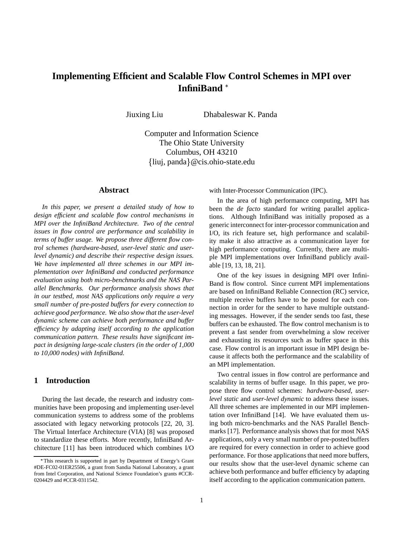# **Implementing Efficient and Scalable Flow Control Schemes in MPI over InfiniBand**

Jiuxing Liu Dhabaleswar K. Panda

Computer and Information Science The Ohio State University Columbus, OH 43210 {liuj, panda}@cis.ohio-state.edu

# **Abstract**

*In this paper, we present a detailed study of how to design efficient and scalable flow control mechanisms in MPI over the InfiniBand Architecture. Two of the central issues in flow control are performance and scalability in terms of buffer usage. We propose three different flow control schemes (hardware-based, user-level static and userlevel dynamic) and describe their respective design issues. We have implemented all three schemes in our MPI implementation over InfiniBand and conducted performance evaluation using both micro-benchmarks and the NAS Parallel Benchmarks. Our performance analysis shows that in our testbed, most NAS applications only require a very small number of pre-posted buffers for every connection to achieve good performance. We also show that the user-level dynamic scheme can achieve both performance and buffer efficiency by adapting itself according to the application communication pattern. These results have significant impact in designing large-scale clusters (in the order of 1,000 to 10,000 nodes) with InfiniBand.*

# **1 Introduction**

During the last decade, the research and industry communities have been proposing and implementing user-level communication systems to address some of the problems associated with legacy networking protocols [22, 20, 3]. The Virtual Interface Architecture (VIA) [8] was proposed to standardize these efforts. More recently, InfiniBand Architecture [11] has been introduced which combines I/O

with Inter-Processor Communication (IPC).

In the area of high performance computing, MPI has been the *de facto* standard for writing parallel applications. Although InfiniBand was initially proposed as a generic interconnect for inter-processor communication and I/O, its rich feature set, high performance and scalability make it also attractive as a communication layer for high performance computing. Currently, there are multiple MPI implementations over InfiniBand publicly available [19, 13, 18, 21].

One of the key issues in designing MPI over Infini-Band is flow control. Since current MPI implementations are based on InfiniBand Reliable Connection (RC) service, multiple receive buffers have to be posted for each connection in order for the sender to have multiple outstanding messages. However, if the sender sends too fast, these buffers can be exhausted. The flow control mechanism is to prevent a fast sender from overwhelming a slow receiver and exhausting its resources such as buffer space in this case. Flow control is an important issue in MPI design because it affects both the performance and the scalability of an MPI implementation.

Two central issues in flow control are performance and scalability in terms of buffer usage. In this paper, we propose three flow control schemes: *hardware-based*, *userlevel static* and *user-level dynamic* to address these issues. All three schemes are implemented in our MPI implementation over InfiniBand [14]. We have evaluated them using both micro-benchmarks and the NAS Parallel Benchmarks [17]. Performance analysis shows that for most NAS applications, only a very small number of pre-posted buffers are required for every connection in order to achieve good performance. For those applications that need more buffers, our results show that the user-level dynamic scheme can achieve both performance and buffer efficiency by adapting itself according to the application communication pattern.

This research is supported in part by Department of Energy's Grant #DE-FC02-01ER25506, a grant from Sandia National Laboratory, a grant from Intel Corporation, and National Science Foundation's grants #CCR-0204429 and #CCR-0311542.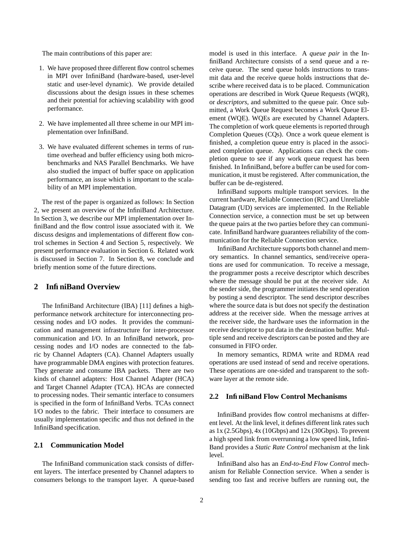The main contributions of this paper are:

- 1. We have proposed three different flow control schemes in MPI over InfiniBand (hardware-based, user-level static and user-level dynamic). We provide detailed discussions about the design issues in these schemes and their potential for achieving scalability with good performance.
- 2. We have implemented all three scheme in our MPI implementation over InfiniBand.
- 3. We have evaluated different schemes in terms of runtime overhead and buffer efficiency using both microbenchmarks and NAS Parallel Benchmarks. We have also studied the impact of buffer space on application performance, an issue which is important to the scalability of an MPI implementation.

The rest of the paper is organized as follows: In Section 2, we present an overview of the InfiniBand Architecture. In Section 3, we describe our MPI implementation over InfiniBand and the flow control issue associated with it. We discuss designs and implementations of different flow control schemes in Section 4 and Section 5, respectively. We present performance evaluation in Section 6. Related work is discussed in Section 7. In Section 8, we conclude and briefly mention some of the future directions.

# **2 InfiniBand Overview**

The InfiniBand Architecture (IBA) [11] defines a highperformance network architecture for interconnecting processing nodes and I/O nodes. It provides the communication and management infrastructure for inter-processor communication and I/O. In an InfiniBand network, processing nodes and I/O nodes are connected to the fabric by Channel Adapters (CA). Channel Adapters usually have programmable DMA engines with protection features. They generate and consume IBA packets. There are two kinds of channel adapters: Host Channel Adapter (HCA) and Target Channel Adapter (TCA). HCAs are connected to processing nodes. Their semantic interface to consumers is specified in the form of InfiniBand Verbs. TCAs connect I/O nodes to the fabric. Their interface to consumers are usually implementation specific and thus not defined in the InfiniBand specification.

### **2.1 Communication Model**

The InfiniBand communication stack consists of different layers. The interface presented by Channel adapters to consumers belongs to the transport layer. A queue-based model is used in this interface. A *queue pair* in the InfiniBand Architecture consists of a send queue and a receive queue. The send queue holds instructions to transmit data and the receive queue holds instructions that describe where received data is to be placed. Communication operations are described in Work Queue Requests (WQR), or *descriptors*, and submitted to the queue pair. Once submitted, a Work Queue Request becomes a Work Queue Element (WQE). WQEs are executed by Channel Adapters. The completion of work queue elements is reported through Completion Queues (CQs). Once a work queue element is finished, a completion queue entry is placed in the associated completion queue. Applications can check the completion queue to see if any work queue request has been finished. In InfiniBand, before a buffer can be used for communication, it must be registered. After communication, the buffer can be de-registered.

InfiniBand supports multiple transport services. In the current hardware, Reliable Connection (RC) and Unreliable Datagram (UD) services are implemented. In the Reliable Connection service, a connection must be set up between the queue pairs at the two parties before they can communicate. InfiniBand hardware guarantees reliability of the communication for the Reliable Connection service.

InfiniBand Architecture supports both channel and memory semantics. In channel semantics, send/receive operations are used for communication. To receive a message, the programmer posts a receive descriptor which describes where the message should be put at the receiver side. At the sender side, the programmer initiates the send operation by posting a send descriptor. The send descriptor describes where the source data is but does not specify the destination address at the receiver side. When the message arrives at the receiver side, the hardware uses the information in the receive descriptor to put data in the destination buffer. Multiple send and receive descriptors can be posted and they are consumed in FIFO order.

In memory semantics, RDMA write and RDMA read operations are used instead of send and receive operations. These operations are one-sided and transparent to the software layer at the remote side.

#### **2.2 InfiniBand Flow Control Mechanisms**

InfiniBand provides flow control mechanisms at different level. At the link level, it defines different link rates such as  $1x$  (2.5Gbps),  $4x$  (10Gbps) and  $12x$  (30Gbps). To prevent a high speed link from overrunning a low speed link, Infini-Band provides a *Static Rate Control* mechanism at the link level.

InfiniBand also has an *End-to-End Flow Control* mechanism for Reliable Connection service. When a sender is sending too fast and receive buffers are running out, the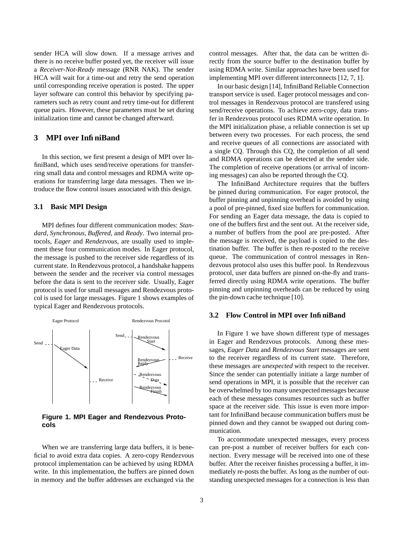sender HCA will slow down. If a message arrives and there is no receive buffer posted yet, the receiver will issue a *Receiver-Not-Ready* message (RNR NAK). The sender HCA will wait for a time-out and retry the send operation until corresponding receive operation is posted. The upper layer software can control this behavior by specifying parameters such as retry count and retry time-out for different queue pairs. However, these parameters must be set during initialization time and cannot be changed afterward.

# **3 MPI over InfiniBand**

In this section, we first present a design of MPI over InfiniBand, which uses send/receive operations for transferring small data and control messages and RDMA write operations for transferring large data messages. Then we introduce the flow control issues associated with this design.

#### **3.1 Basic MPI Design**

MPI defines four different communication modes: *Standard*, *Synchronous*, *Buffered*, and *Ready*. Two internal protocols, *Eager* and *Rendezvous*, are usually used to implement these four communication modes. In Eager protocol, the message is pushed to the receiver side regardless of its current state. In Rendezvous protocol, a handshake happens between the sender and the receiver via control messages before the data is sent to the receiver side. Usually, Eager protocol is used for small messages and Rendezvous protocol is used for large messages. Figure 1 shows examples of typical Eager and Rendezvous protocols.



**Figure 1. MPI Eager and Rendezvous Protocols**

When we are transferring large data buffers, it is beneficial to avoid extra data copies. A zero-copy Rendezvous protocol implementation can be achieved by using RDMA write. In this implementation, the buffers are pinned down in memory and the buffer addresses are exchanged via the control messages. After that, the data can be written directly from the source buffer to the destination buffer by using RDMA write. Similar approaches have been used for implementing MPI over different interconnects [12, 7, 1].

In our basic design [14], InfiniBand Reliable Connection transport service is used. Eager protocol messages and control messages in Rendezvous protocol are transfered using send/receive operations. To achieve zero-copy, data transfer in Rendezvous protocol uses RDMA write operation. In the MPI initialization phase, a reliable connection is set up between every two processes. For each process, the send and receive queues of all connections are associated with a single CQ. Through this CQ, the completion of all send and RDMA operations can be detected at the sender side. The completion of receive operations (or arrival of incoming messages) can also be reported through the CQ.

The InfiniBand Architecture requires that the buffers be pinned during communication. For eager protocol, the buffer pinning and unpinning overhead is avoided by using a pool of pre-pinned, fixed size buffers for communication. For sending an Eager data message, the data is copied to one of the buffers first and the sent out. At the receiver side, a number of buffers from the pool are pre-posted. After the message is received, the payload is copied to the destination buffer. The buffer is then re-posted to the receive queue. The communication of control messages in Rendezvous protocol also uses this buffer pool. In Rendezvous protocol, user data buffers are pinned on-the-fly and transferred directly using RDMA write operations. The buffer pinning and unpinning overheads can be reduced by using the pin-down cache technique [10].

## **3.2 Flow Control in MPI over InfiniBand**

In Figure 1 we have shown different type of messages in Eager and Rendezvous protocols. Among these messages, *Eager Data* and *Rendezvous Start* messages are sent to the receiver regardless of its current state. Therefore, these messages are *unexpected* with respect to the receiver. Since the sender can potentially initiate a large number of send operations in MPI, it is possible that the receiver can be overwhelmed by too many unexpected messages because each of these messages consumes resources such as buffer space at the receiver side. This issue is even more important for InfiniBand because communication buffers must be pinned down and they cannot be swapped out during communication.

To accommodate unexpected messages, every process can pre-post a number of receiver buffers for each connection. Every message will be received into one of these buffer. After the receiver finishes processing a buffer, it immediately re-posts the buffer. As long as the number of outstanding unexpected messages for a connection is less than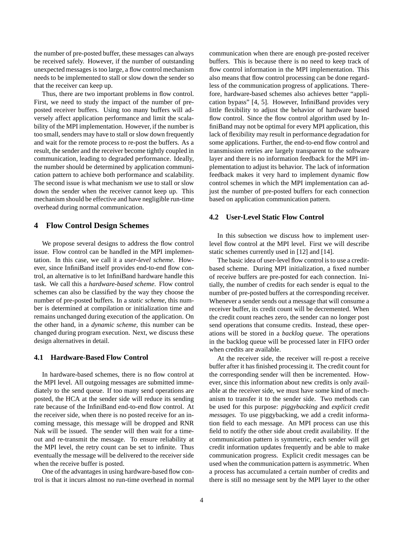the number of pre-posted buffer, these messages can always be received safely. However, if the number of outstanding unexpected messages is too large, a flow control mechanism needs to be implemented to stall or slow down the sender so that the receiver can keep up.

Thus, there are two important problems in flow control. First, we need to study the impact of the number of preposted receiver buffers. Using too many buffers will adversely affect application performance and limit the scalability of the MPI implementation. However, if the number is too small, senders may have to stall or slow down frequently and wait for the remote process to re-post the buffers. As a result, the sender and the receiver become tightly coupled in communication, leading to degraded performance. Ideally, the number should be determined by application communication pattern to achieve both performance and scalability. The second issue is what mechanism we use to stall or slow down the sender when the receiver cannot keep up. This mechanism should be effective and have negligible run-time overhead during normal communication.

## **4 Flow Control Design Schemes**

We propose several designs to address the flow control issue. Flow control can be handled in the MPI implementation. In this case, we call it a *user-level scheme*. However, since InfiniBand itself provides end-to-end flow control, an alternative is to let InfiniBand hardware handle this task. We call this a *hardware-based scheme*. Flow control schemes can also be classified by the way they choose the number of pre-posted buffers. In a *static scheme*, this number is determined at compilation or initialization time and remains unchanged during execution of the application. On the other hand, in a *dynamic scheme*, this number can be changed during program execution. Next, we discuss these design alternatives in detail.

## **4.1 Hardware-Based Flow Control**

In hardware-based schemes, there is no flow control at the MPI level. All outgoing messages are submitted immediately to the send queue. If too many send operations are posted, the HCA at the sender side will reduce its sending rate because of the InfiniBand end-to-end flow control. At the receiver side, when there is no posted receive for an incoming message, this message will be dropped and RNR Nak will be issued. The sender will then wait for a timeout and re-transmit the message. To ensure reliability at the MPI level, the retry count can be set to infinite. Thus eventually the message will be delivered to the receiver side when the receive buffer is posted.

One of the advantages in using hardware-based flow control is that it incurs almost no run-time overhead in normal communication when there are enough pre-posted receiver buffers. This is because there is no need to keep track of flow control information in the MPI implementation. This also means that flow control processing can be done regardless of the communication progress of applications. Therefore, hardware-based schemes also achieves better "application bypass" [4, 5]. However, InfiniBand provides very little flexibility to adjust the behavior of hardware based flow control. Since the flow control algorithm used by InfiniBand may not be optimal for every MPI application, this lack of flexibility may result in performance degradation for some applications. Further, the end-to-end flow control and transmission retries are largely transparent to the software layer and there is no information feedback for the MPI implementation to adjust its behavior. The lack of information feedback makes it very hard to implement dynamic flow control schemes in which the MPI implementation can adjust the number of pre-posted buffers for each connection based on application communication pattern.

#### **4.2 User-Level Static Flow Control**

In this subsection we discuss how to implement userlevel flow control at the MPI level. First we will describe static schemes currently used in [12] and [14].

The basic idea of user-level flow control is to use a creditbased scheme. During MPI initialization, a fixed number of receive buffers are pre-posted for each connection. Initially, the number of credits for each sender is equal to the number of pre-posted buffers at the corresponding receiver. Whenever a sender sends out a message that will consume a receiver buffer, its credit count will be decremented. When the credit count reaches zero, the sender can no longer post send operations that consume credits. Instead, these operations will be stored in a *backlog queue*. The operations in the backlog queue will be processed later in FIFO order when credits are available.

At the receiver side, the receiver will re-post a receive buffer after it has finished processing it. The credit count for the corresponding sender will then be incremented. However, since this information about new credits is only available at the receiver side, we must have some kind of mechanism to transfer it to the sender side. Two methods can be used for this purpose: *piggybacking* and *explicit credit messages.* To use piggybacking, we add a credit information field to each message. An MPI process can use this field to notify the other side about credit availability. If the communication pattern is symmetric, each sender will get credit information updates frequently and be able to make communication progress. Explicit credit messages can be used when the communication pattern is asymmetric. When a process has accumulated a certain number of credits and there is still no message sent by the MPI layer to the other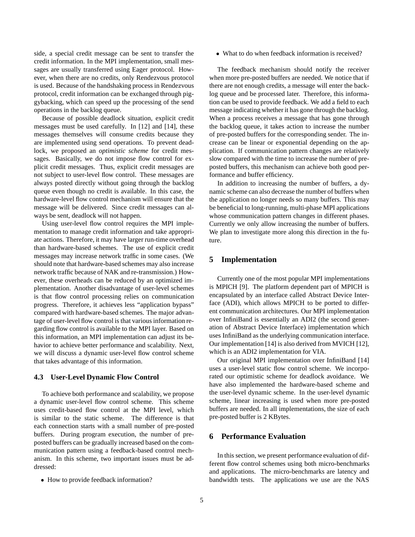side, a special credit message can be sent to transfer the credit information. In the MPI implementation, small messages are usually transferred using Eager protocol. However, when there are no credits, only Rendezvous protocol is used. Because of the handshaking process in Rendezvous protocol, credit information can be exchanged through piggybacking, which can speed up the processing of the send operations in the backlog queue.

Because of possible deadlock situation, explicit credit messages must be used carefully. In [12] and [14], these messages themselves will consume credits because they are implemented using send operations. To prevent deadlock, we proposed an *optimistic scheme* for credit messages. Basically, we do not impose flow control for explicit credit messages. Thus, explicit credit messages are not subject to user-level flow control. These messages are always posted directly without going through the backlog queue even though no credit is available. In this case, the hardware-level flow control mechanism will ensure that the message will be delivered. Since credit messages can always be sent, deadlock will not happen.

Using user-level flow control requires the MPI implementation to manage credit information and take appropriate actions. Therefore, it may have larger run-time overhead than hardware-based schemes. The use of explicit credit messages may increase network traffic in some cases. (We should note that hardware-based schemes may also increase network traffic because of NAK and re-transmission.) However, these overheads can be reduced by an optimized implementation. Another disadvantage of user-level schemes is that flow control processing relies on communication progress. Therefore, it achieves less "application bypass" compared with hardware-based schemes. The major advantage of user-level flow control is that variousinformation regarding flow control is available to the MPI layer. Based on this information, an MPI implementation can adjust its behavior to achieve better performance and scalability. Next, we will discuss a dynamic user-level flow control scheme that takes advantage of this information.

#### **4.3 User-Level Dynamic Flow Control**

To achieve both performance and scalability, we propose a dynamic user-level flow control scheme. This scheme uses credit-based flow control at the MPI level, which is similar to the static scheme. The difference is that each connection starts with a small number of pre-posted buffers. During program execution, the number of preposted buffers can be gradually increased based on the communication pattern using a feedback-based control mechanism. In this scheme, two important issues must be addressed:

• How to provide feedback information?

What to do when feedback information is received?

The feedback mechanism should notify the receiver when more pre-posted buffers are needed. We notice that if there are not enough credits, a message will enter the backlog queue and be processed later. Therefore, this information can be used to provide feedback. We add a field to each message indicating whether it has gone through the backlog. When a process receives a message that has gone through the backlog queue, it takes action to increase the number of pre-posted buffers for the corresponding sender. The increase can be linear or exponential depending on the application. If communication pattern changes are relatively slow compared with the time to increase the number of preposted buffers, this mechanism can achieve both good performance and buffer efficiency.

In addition to increasing the number of buffers, a dynamic scheme can also decrease the number of buffers when the application no longer needs so many buffers. This may be beneficial to long-running, multi-phase MPI applications whose communication pattern changes in different phases. Currently we only allow increasing the number of buffers. We plan to investigate more along this direction in the future.

## **5 Implementation**

Currently one of the most popular MPI implementations is MPICH [9]. The platform dependent part of MPICH is encapsulated by an interface called Abstract Device Interface (ADI), which allows MPICH to be ported to different communication architectures. Our MPI implementation over InfiniBand is essentially an ADI2 (the second generation of Abstract Device Interface) implementation which uses InfiniBand as the underlying communication interface. Our implementation [14] is also derived from MVICH [12], which is an ADI2 implementation for VIA.

Our original MPI implementation over InfiniBand [14] uses a user-level static flow control scheme. We incorporated our optimistic scheme for deadlock avoidance. We have also implemented the hardware-based scheme and the user-level dynamic scheme. In the user-level dynamic scheme, linear increasing is used when more pre-posted buffers are needed. In all implementations, the size of each pre-posted buffer is 2 KBytes.

## **6 Performance Evaluation**

In this section, we present performance evaluation of different flow control schemes using both micro-benchmarks and applications. The micro-benchmarks are latency and bandwidth tests. The applications we use are the NAS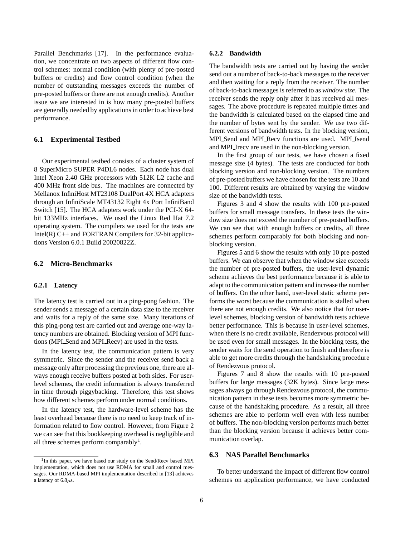Parallel Benchmarks [17]. In the performance evaluation, we concentrate on two aspects of different flow control schemes: normal condition (with plenty of pre-posted buffers or credits) and flow control condition (when the number of outstanding messages exceeds the number of pre-posted buffers or there are not enough credits). Another issue we are interested in is how many pre-posted buffers are generally needed by applications in order to achieve best performance.

### **6.1 Experimental Testbed**

Our experimental testbed consists of a cluster system of 8 SuperMicro SUPER P4DL6 nodes. Each node has dual Intel Xeon 2.40 GHz processors with 512K L2 cache and 400 MHz front side bus. The machines are connected by Mellanox InfiniHost MT23108 DualPort 4X HCA adapters through an InfiniScale MT43132 Eight 4x Port InfiniBand Switch [15]. The HCA adapters work under the PCI-X 64 bit 133MHz interfaces. We used the Linux Red Hat 7.2 operating system. The compilers we used for the tests are Intel $(R)$  C++ and FORTRAN Compilers for 32-bit applications Version 6.0.1 Build 20020822Z.

## **6.2 Micro-Benchmarks**

#### **6.2.1 Latency**

The latency test is carried out in a ping-pong fashion. The sender sends a message of a certain data size to the receiver and waits for a reply of the same size. Many iterations of this ping-pong test are carried out and average one-way latency numbers are obtained. Blocking version of MPI functions (MPI Send and MPI Recv) are used in the tests.

In the latency test, the communication pattern is very symmetric. Since the sender and the receiver send back a message only after processing the previous one, there are always enough receive buffers posted at both sides. For userlevel schemes, the credit information is always transferred in time through piggybacking. Therefore, this test shows how different schemes perform under normal conditions.

In the latency test, the hardware-level scheme has the least overhead because there is no need to keep track of information related to flow control. However, from Figure 2 we can see that this bookkeeping overhead is negligible and all three schemes perform comparably<sup>1</sup>.

#### **6.2.2 Bandwidth**

The bandwidth tests are carried out by having the sender send out a number of back-to-back messages to the receiver and then waiting for a reply from the receiver. The number of back-to-back messages is referred to as *window size*. The receiver sends the reply only after it has received all messages. The above procedure is repeated multiple times and the bandwidth is calculated based on the elapsed time and the number of bytes sent by the sender. We use two different versions of bandwidth tests. In the blocking version, MPI Send and MPI Recv functions are used. MPI Isend and MPI Irecv are used in the non-blocking version.

In the first group of our tests, we have chosen a fixed message size (4 bytes). The tests are conducted for both blocking version and non-blocking version. The numbers of pre-posted buffers we have chosen for the tests are 10 and 100. Different results are obtained by varying the window size of the bandwidth tests.

Figures 3 and 4 show the results with 100 pre-posted buffers for small message transfers. In these tests the window size does not exceed the number of pre-posted buffers. We can see that with enough buffers or credits, all three schemes perform comparably for both blocking and nonblocking version.

Figures 5 and 6 show the results with only 10 pre-posted buffers. We can observe that when the window size exceeds the number of pre-posted buffers, the user-level dynamic scheme achieves the best performance because it is able to adapt to the communication pattern and increase the number of buffers. On the other hand, user-level static scheme performs the worst because the communication is stalled when there are not enough credits. We also notice that for userlevel schemes, blocking version of bandwidth tests achieve better performance. This is because in user-level schemes, when there is no credit available, Rendezvous protocol will be used even for small messages. In the blocking tests, the sender waits for the send operation to finish and therefore is able to get more credits through the handshaking procedure of Rendezvous protocol.

Figures 7 and 8 show the results with 10 pre-posted buffers for large messages (32K bytes). Since large messages always go through Rendezvous protocol, the communication pattern in these tests becomes more symmetric because of the handshaking procedure. As a result, all three schemes are able to perform well even with less number of buffers. The non-blocking version performs much better than the blocking version because it achieves better communication overlap.

## **6.3 NAS Parallel Benchmarks**

To better understand the impact of different flow control schemes on application performance, we have conducted

<sup>&</sup>lt;sup>1</sup>In this paper, we have based our study on the Send/Recv based MPI implementation, which does not use RDMA for small and control messages. Our RDMA-based MPI implementation described in [13] achieves a latency of  $6.8\mu s$ .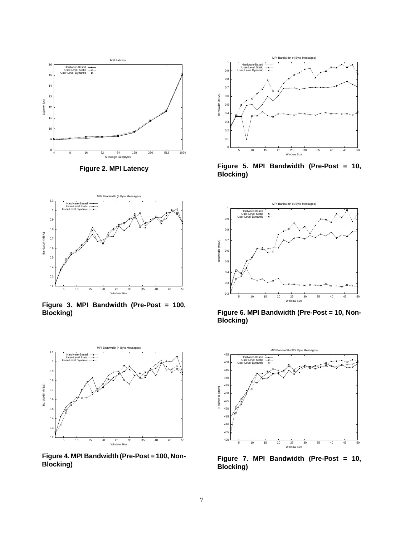





**Figure 5. MPI Bandwidth (Pre-Post = 10, Blocking)**



**Figure 3. MPI Bandwidth (Pre-Post = 100, Blocking)**



**Figure 4. MPI Bandwidth (Pre-Post = 100, Non-Blocking)**



**Figure 6. MPI Bandwidth (Pre-Post = 10, Non-Blocking)**



**Figure 7. MPI Bandwidth (Pre-Post = 10, Blocking)**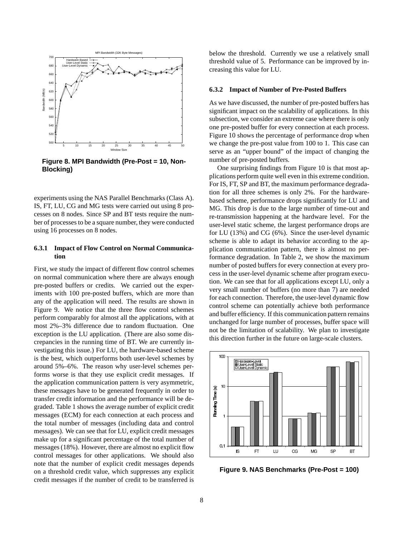

**Figure 8. MPI Bandwidth (Pre-Post = 10, Non-Blocking)**

experiments using the NAS Parallel Benchmarks (Class A). IS, FT, LU, CG and MG tests were carried out using 8 processes on 8 nodes. Since SP and BT tests require the number of processes to be a square number, they were conducted using 16 processes on 8 nodes.

#### **6.3.1 Impact of Flow Control on Normal Communication**

First, we study the impact of different flow control schemes on normal communication where there are always enough pre-posted buffers or credits. We carried out the experiments with 100 pre-posted buffers, which are more than any of the application will need. The results are shown in Figure 9. We notice that the three flow control schemes perform comparably for almost all the applications, with at most 2%–3% difference due to random fluctuation. One exception is the LU application. (There are also some discrepancies in the running time of BT. We are currently investigating this issue.) For LU, the hardware-based scheme is the best, which outperforms both user-level schemes by around 5%–6%. The reason why user-level schemes performs worse is that they use explicit credit messages. If the application communication pattern is very asymmetric, these messages have to be generated frequently in order to transfer credit information and the performance will be degraded. Table 1 shows the average number of explicit credit messages (ECM) for each connection at each process and the total number of messages (including data and control messages). We can see that for LU, explicit credit messages make up for a significant percentage of the total number of messages (18%). However, there are almost no explicit flow control messages for other applications. We should also note that the number of explicit credit messages depends on a threshold credit value, which suppresses any explicit credit messages if the number of credit to be transferred is

below the threshold. Currently we use a relatively small threshold value of 5. Performance can be improved by increasing this value for LU.

#### **6.3.2 Impact of Number of Pre-Posted Buffers**

As we have discussed, the number of pre-posted buffers has significant impact on the scalability of applications. In this subsection, we consider an extreme case where there is only one pre-posted buffer for every connection at each process. Figure 10 shows the percentage of performance drop when we change the pre-post value from 100 to 1. This case can serve as an "upper bound" of the impact of changing the number of pre-posted buffers.

One surprising findings from Figure 10 is that most applications perform quite well even in this extreme condition. For IS, FT, SP and BT, the maximum performance degradation for all three schemes is only 2%. For the hardwarebased scheme, performance drops significantly for LU and MG. This drop is due to the large number of time-out and re-transmission happening at the hardware level. For the user-level static scheme, the largest performance drops are for LU (13%) and CG (6%). Since the user-level dynamic scheme is able to adapt its behavior according to the application communication pattern, there is almost no performance degradation. In Table 2, we show the maximum number of posted buffers for every connection at every process in the user-level dynamic scheme after program execution. We can see that for all applications except LU, only a very small number of buffers (no more than 7) are needed for each connection. Therefore, the user-level dynamic flow control scheme can potentially achieve both performance and buffer efficiency. If this communication pattern remains unchanged for large number of processes, buffer space will not be the limitation of scalability. We plan to investigate this direction further in the future on large-scale clusters.



**Figure 9. NAS Benchmarks (Pre-Post = 100)**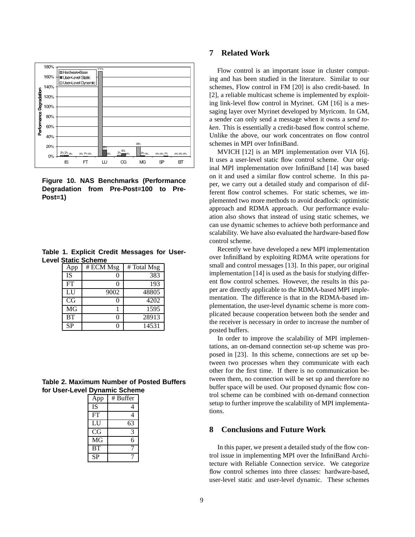

**Figure 10. NAS Benchmarks (Performance Degradation from Pre-Post=100 to Pre-Post=1)**

|                            |  |  |  | Table 1. Explicit Credit Messages for User- |  |  |  |
|----------------------------|--|--|--|---------------------------------------------|--|--|--|
| <b>Level Static Scheme</b> |  |  |  |                                             |  |  |  |

| App       | # ECM Msg | #Total Msg |
|-----------|-----------|------------|
| <b>IS</b> |           | 383        |
| FT        |           | 193        |
| LU        | 9002      | 48805      |
| CG        |           | 4202       |
| MG        |           | 1595       |
| <b>BT</b> |           | 28913      |
| <b>SP</b> |           | 14531      |

| Table 2. Maximum Number of Posted Buffers |  |  |  |  |  |
|-------------------------------------------|--|--|--|--|--|
| for User-Level Dynamic Scheme             |  |  |  |  |  |

| App       | # Buffer |
|-----------|----------|
| IS        | 4        |
| FT        | 4        |
| LU        | 63       |
| CG        | 3        |
| MG        | 6        |
| <b>BT</b> |          |
| SP        |          |

# **7 Related Work**

Flow control is an important issue in cluster computing and has been studied in the literature. Similar to our schemes, Flow control in FM [20] is also credit-based. In [2], a reliable multicast scheme is implemented by exploiting link-level flow control in Myrinet. GM [16] is a messaging layer over Myrinet developed by Myricom. In GM, a sender can only send a message when it owns a *send token*. This is essentially a credit-based flow control scheme. Unlike the above, our work concentrates on flow control schemes in MPI over InfiniBand.

MVICH [12] is an MPI implementation over VIA [6]. It uses a user-level static flow control scheme. Our original MPI implementation over InfiniBand [14] was based on it and used a similar flow control scheme. In this paper, we carry out a detailed study and comparison of different flow control schemes. For static schemes, we implemented two more methods to avoid deadlock: optimistic approach and RDMA approach. Our performance evaluation also shows that instead of using static schemes, we can use dynamic schemes to achieve both performance and scalability. We have also evaluated the hardware-based flow control scheme.

Recently we have developed a new MPI implementation over InfiniBand by exploiting RDMA write operations for small and control messages [13]. In this paper, our original implementation [14] is used as the basis for studying different flow control schemes. However, the results in this paper are directly applicable to the RDMA-based MPI implementation. The difference is that in the RDMA-based implementation, the user-level dynamic scheme is more complicated because cooperation between both the sender and the receiver is necessary in order to increase the number of posted buffers.

In order to improve the scalability of MPI implementations, an on-demand connection set-up scheme was proposed in [23]. In this scheme, connections are set up between two processes when they communicate with each other for the first time. If there is no communication between them, no connection will be set up and therefore no buffer space will be used. Our proposed dynamic flow control scheme can be combined with on-demand connection setup to further improve the scalability of MPI implementations.

## **8 Conclusions and Future Work**

In this paper, we present a detailed study of the flow control issue in implementing MPI over the InfiniBand Architecture with Reliable Connection service. We categorize flow control schemes into three classes: hardware-based, user-level static and user-level dynamic. These schemes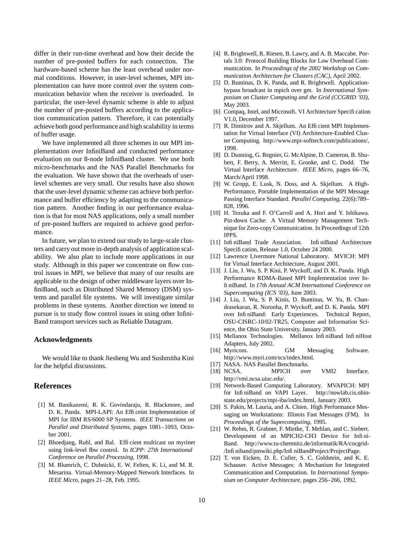differ in their run-time overhead and how their decide the number of pre-posted buffers for each connection. The hardware-based scheme has the least overhead under normal conditions. However, in user-level schemes, MPI implementation can have more control over the system communication behavior when the receiver is overloaded. In particular, the user-level dynamic scheme is able to adjust the number of pre-posted buffers according to the application communication pattern. Therefore, it can potentially achieve both good performance and high scalability in terms of buffer usage.

We have implemented all three schemes in our MPI implementation over InfiniBand and conducted performance evaluation on our 8-node InfiniBand cluster. We use both micro-benchmarks and the NAS Parallel Benchmarks for the evaluation. We have shown that the overheads of userlevel schemes are very small. Our results have also shown that the user-level dynamic scheme can achieve both performance and buffer efficiency by adapting to the communication pattern. Another finding in our performance evaluation is that for most NAS applications, only a small number of pre-posted buffers are required to achieve good performance.

In future, we plan to extend our study to large-scale clusters and carry out more in-depth analysis of application scalability. We also plan to include more applications in our study. Although in this paper we concentrate on flow control issues in MPI, we believe that many of our results are applicable to the design of other middleware layers over InfiniBand, such as Distributed Shared Memory (DSM) systems and parallel file systems. We will investigate similar problems in these systems. Another direction we intend to pursue is to study flow control issues in using other Infini-Band transport services such as Reliable Datagram.

#### **Acknowledgments**

We would like to thank Jiesheng Wu and Sushmitha Kini for the helpful discussions.

### **References**

- [1] M. Banikazemi, R. K. Govindaraju, R. Blackmore, and D. K. Panda. MPI-LAPI: An Efficeint Implementation of MPI for IBM RS/6000 SP Systems. *IEEE Transactions on Parallel and Distributed Systems*, pages 1081–1093, October 2001.
- [2] Bhoedjang, Ruhl, and Bal. Efficient multicast on myrinet using link-level flow control. In *ICPP: 27th International Conference on Parallel Processing*, 1998.
- [3] M. Blumrich, C. Dubnicki, E. W. Felten, K. Li, and M. R. Mesarina. Virtual-Memory-Mapped Network Interfaces. In *IEEE Micro*, pages 21–28, Feb. 1995.
- [4] R. Brightwell, R. Riesen, B. Lawry, and A. B. Maccabe. Portals 3.0: Protocol Building Blocks for Low Overhead Communication. In *Proceedings of the 2002 Workshop on Communication Architecture for Clusters (CAC)*, April 2002.
- [5] D. Buntinas, D. K. Panda, and R. Brightwell. Applicationbypass broadcast in mpich over gm. In *International Symposium on Cluster Computing and the Grid (CCGRID '03)*, May 2003.
- [6] Compaq, Intel, and Microsoft. VI Architecture Specification V1.0, December 1997.
- [7] R. Dimitrov and A. Skjellum. An Efficient MPI Implementation for Virtual Interface (VI) Architecture-Enabled Cluster Computing. http://www.mpi-softtech.com/publications/, 1998.
- [8] D. Dunning, G. Regnier, G. McAlpine, D. Cameron, B. Shubert, F. Berry, A. Merritt, E. Gronke, and C. Dodd. The Virtual Interface Architecture. *IEEE Micro*, pages 66–76, March/April 1998.
- [9] W. Gropp, E. Lusk, N. Doss, and A. Skjellum. A High-Performance, Portable Implementation of the MPI Message Passing Interface Standard. *Parallel Computing*, 22(6):789– 828, 1996.
- [10] H. Tezuka and F. O'Carroll and A. Hori and Y. Ishikawa. Pin-down Cache: A Virtual Memory Management Technique for Zero-copy Communication. In Proceedings of 12th IPPS.
- [11] InfiniBand Trade Association. InfiniBand Architecture Specification, Release 1.0, October 24 2000.
- [12] Lawrence Livermore National Laboratory. MVICH: MPI for Virtual Interface Architecture, August 2001.
- [13] J. Liu, J. Wu, S. P. Kini, P. Wyckoff, and D. K. Panda. High Performance RDMA-Based MPI Implementation over InfiniBand. In *17th Annual ACM International Conference on Supercomputing (ICS '03)*, June 2003.
- [14] J. Liu, J. Wu, S. P. Kinis, D. Buntinas, W. Yu, B. Chandrasekaran, R. Noronha, P. Wyckoff, and D. K. Panda. MPI over InfiniBand: Early Experiences. Technical Report, OSU-CISRC-10/02-TR25, Computer and Information Science, the Ohio State University, January 2003.
- [15] Mellanox Technologies. Mellanox InfiniBand InfiniHost Adapters, July 2002.
- [16] Myricom. GM Messaging Software. http://www.myri.com/scs/index.html.
- [17] NASA. NAS Parallel Benchmarks.
- [18] NCSA. MPICH over VMI2 Interface. http://vmi.ncsa.uiuc.edu/.
- [19] Network-Based Computing Laboratory. MVAPICH: MPI for InfiniBand on VAPI Layer. http://nowlab.cis.ohiostate.edu/projects/mpi-iba/index.html, January 2003.
- [20] S. Pakin, M. Lauria, and A. Chien. High Performance Messaging on Workstations: Illinois Fast Messages (FM). In *Proceedings of the Supercomputing*, 1995.
- [21] W. Rehm, R. Grabner, F. Mietke, T. Mehlan, and C. Siebert. Development of an MPICH2-CH3 Device for Infini-Band. http://www.tu-chemnitz.de/informatik/RA/cocgrid- /Infiniband/pmwiki.php/InfiniBandProject/ProjectPage.
- [22] T. von Eicken, D. E. Culler, S. C. Goldstein, and K. E. Schauser. Active Messages: A Mechanism for Integrated Communication and Computation. In *International Symposium on Computer Architecture*, pages 256–266, 1992.